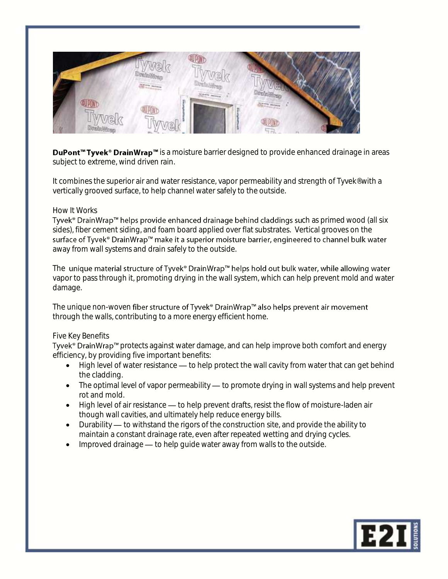

DuPont<sup>™</sup> Tyvek<sup>®</sup> DrainWrap<sup>™</sup> is a moisture barrier designed to provide enhanced drainage in areas subject to extreme, wind driven rain.

It combines the superior air and water resistance, vapor permeability and strength of Tyvek<sup>®</sup> with a vertically grooved surface, to help channel water safely to the outside.

# How It Works

Tyvek® DrainWrap™ helps provide enhanced drainage behind claddings such as primed wood (all six sides), fiber cement siding, and foam board applied over flat substrates. Vertical grooves on the surface of Tyvek® DrainWrap™ make it a superior moisture barrier, engineered to channel bulk water away from wall systems and drain safely to the outside.

The unique material structure of Tyvek® DrainWrap™ helps hold out bulk water, while allowing water vapor to pass through it, promoting drying in the wall system, which can help prevent mold and water damage.

The unique non-woven fiber structure of Tyvek® DrainWrap™ also helps prevent air movement through the walls, contributing to a more energy efficient home.

# Five Key Benefits

Tyvek<sup>®</sup> DrainWrap<sup>™</sup> protects against water damage, and can help improve both comfort and energy efficiency, by providing five important benefits:

- $\bullet$  High level of water resistance  $\leftarrow$  to help protect the wall cavity from water that can get behind the cladding.
- $\bullet$  The optimal level of vapor permeability  $\leftarrow$  to promote drying in wall systems and help prevent rot and mold.
- $\bullet$  High level of air resistance  $\rightarrow$  to help prevent drafts, resist the flow of moisture-laden air though wall cavities, and ultimately help reduce energy bills.
- $\bullet$  Durability  $\leftarrow$  to withstand the rigors of the construction site, and provide the ability to maintain a constant drainage rate, even after repeated wetting and drying cycles.
- Improved drainage to help guide water away from walls to the outside.